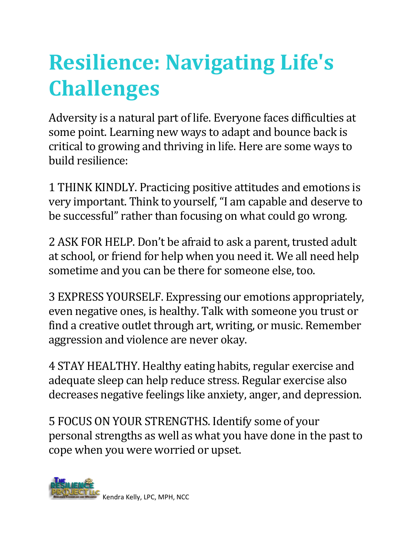## **Resilience: Navigating Life's Challenges**

Adversity is a natural part of life. Everyone faces difficulties at some point. Learning new ways to adapt and bounce back is critical to growing and thriving in life. Here are some ways to build resilience:

1 THINK KINDLY. Practicing positive attitudes and emotions is very important. Think to yourself, "I am capable and deserve to be successful" rather than focusing on what could go wrong.

2 ASK FOR HELP. Don't be afraid to ask a parent, trusted adult at school, or friend for help when you need it. We all need help sometime and you can be there for someone else, too.

3 EXPRESS YOURSELF. Expressing our emotions appropriately, even negative ones, is healthy. Talk with someone you trust or find a creative outlet through art, writing, or music. Remember aggression and violence are never okay.

4 STAY HEALTHY. Healthy eating habits, regular exercise and adequate sleep can help reduce stress. Regular exercise also decreases negative feelings like anxiety, anger, and depression.

5 FOCUS ON YOUR STRENGTHS. Identify some of your personal strengths as well as what you have done in the past to cope when you were worried or upset.